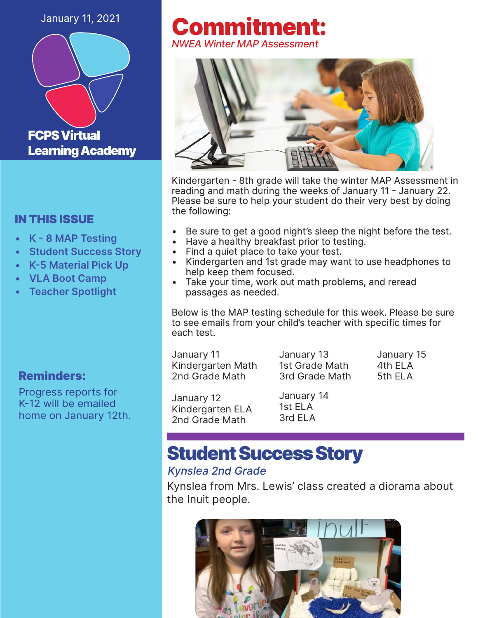### January 11, 2021



### IN THIS ISSUE

- **• K - 8 MAP Testing**
- **• Student Success Story**
- **• K-5 Material Pick Up**
- **• VLA Boot Camp**
- **• Teacher Spotlight**

### Reminders:

Progress reports for K-12 will be emailed home on January 12th.

### Commitment: *NWEA Winter MAP Assessment*



Kindergarten - 8th grade will take the winter MAP Assessment in reading and math during the weeks of January 11 - January 22. Please be sure to help your student do their very best by doing the following:

- Be sure to get a good night's sleep the night before the test.
- Have a healthy breakfast prior to testing.
- Find a quiet place to take your test.
- Kindergarten and 1st grade may want to use headphones to help keep them focused.
- Take your time, work out math problems, and reread passages as needed.

Below is the MAP testing schedule for this week. Please be sure to see emails from your child's teacher with specific times for each test.

January 11 Kindergarten Math 2nd Grade Math

January 13 1st Grade Math 3rd Grade Math January 15 4th ELA 5th ELA

January 12 Kindergarten ELA 2nd Grade Math

January 14 1st ELA 3rd ELA

## Student Success Story

### *Kynslea 2nd Grade*

Kynslea from Mrs. Lewis' class created a diorama about the Inuit people.